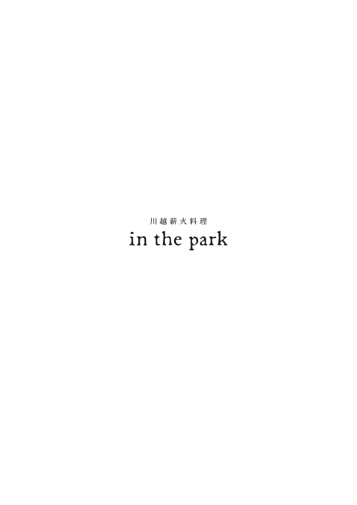## 川越薪火料理 in the park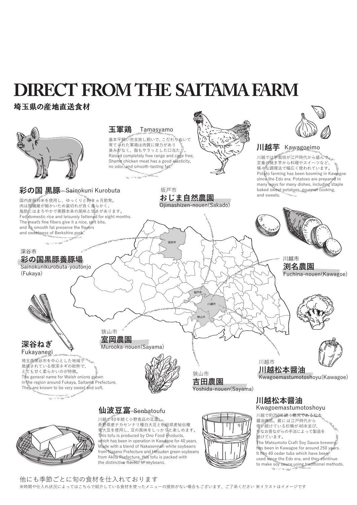## **DIRECT FROM THE SAITAMA FARM**

#### 埼玉県の産地直送食材



```
他にも季節ごとに旬の食材を仕入れております
※時期や仕入れ状況によってはこちらで紹介している食材を使ったメニューの提供がない場合もございます、ご了承ください ※イラストはイメージです
```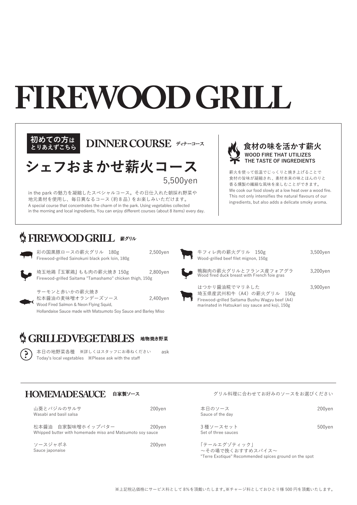# **FIREWOOD GRILL**





in the park の魅力を凝縮したスペシャルコース。その日仕入れた朝採れ野菜や 地元素材を使用し、毎日異なるコース(約 8 品)をお楽しみいただけます。 A special course that concentrates the charm of in the park. Using vegetables collected in the morning and local ingredients, You can enjoy different courses (about 8 items) every day. **食材の味を活かす薪火 WOOD FIRE THAT UTILIZES THE TASTE OF INGREDIENTS**

薪火を使って低温でじっくりと焼き上げることで 食材の旨味が凝縮され、素材本来の味とほんのりと 香る燻製の繊細な風味を楽しむことができます。 We cook our food slowly at a low heat over a wood fire. This not only intensifies the natural flavours of our ingredients, but also adds a delicate smoky aroma.

#### **SETREWOOD GRILL** #グリル



彩の国黒豚ロースの薪火グリル 180g 2,500yen Firewood-grilled Sainokuni black pork loin, 180g

埼玉地鶏『玉軍鶏』もも肉の薪火焼き 150g 2,800yen Firewood-grilled Saitama "Tamashamo" chicken thigh, 150g

サーモンと赤いかの薪火焼き 松本醤油の麦味噌オランデーズソース 2,400yen Wood Fired Salmon & Neon Flying Squid,

Hollandaise Sauce made with Matsumoto Soy Sauce and Barley Miso

### **S GRILLED VEGETABLES** 地物焼き野菜



本日の地野菜各種 ※詳しくはスタッフにお尋ねください ask **?** Today's local vegetables ※Please ask with the staff

| 牛フィレ肉の薪火グリル 150g<br>Wood-grilled beef filet mignon, 150g                                                                                        | $3,500$ yen |
|-------------------------------------------------------------------------------------------------------------------------------------------------|-------------|
| 鴨胸肉の薪火グリルとフランス産フォアグラ<br>Wood fired duck breast with French foie gras                                                                            | 3.200ven    |
| はつかり醤油糀でマリネした<br>埼玉県産武州和牛 (A4) の薪火グリル 150g<br>Firewood-grilled Saitama Bushu Wagyu beef (A4)<br>marinated in Hatsukari soy sauce and koji, 150g | 3,900yen    |

#### HOMEMADE SAUCE 自家製ソース

| 山葵とバジルのサルサ<br>Wasabi and basil salsa |                                                                                | 200ven |
|--------------------------------------|--------------------------------------------------------------------------------|--------|
|                                      | 松本醤油 自家製味噌ホイップバター<br>Whipped butter with homemade miso and Matsumoto soy sauce | 200ven |
| ソースジャポネ<br>Sauce japonaise           |                                                                                | 200ven |

|  | グリル料理に合わせてお好みのソースをお選びください |  |  |
|--|---------------------------|--|--|

本日のソース インファイル しょうしょう 200yen Sauce of the day

3種ソースセット 500yen Set of three sauces

「テールエグゾティック」 ~その場で挽くおすすめスパイス~ "Terre Exotique" Recommended spices ground on the spot